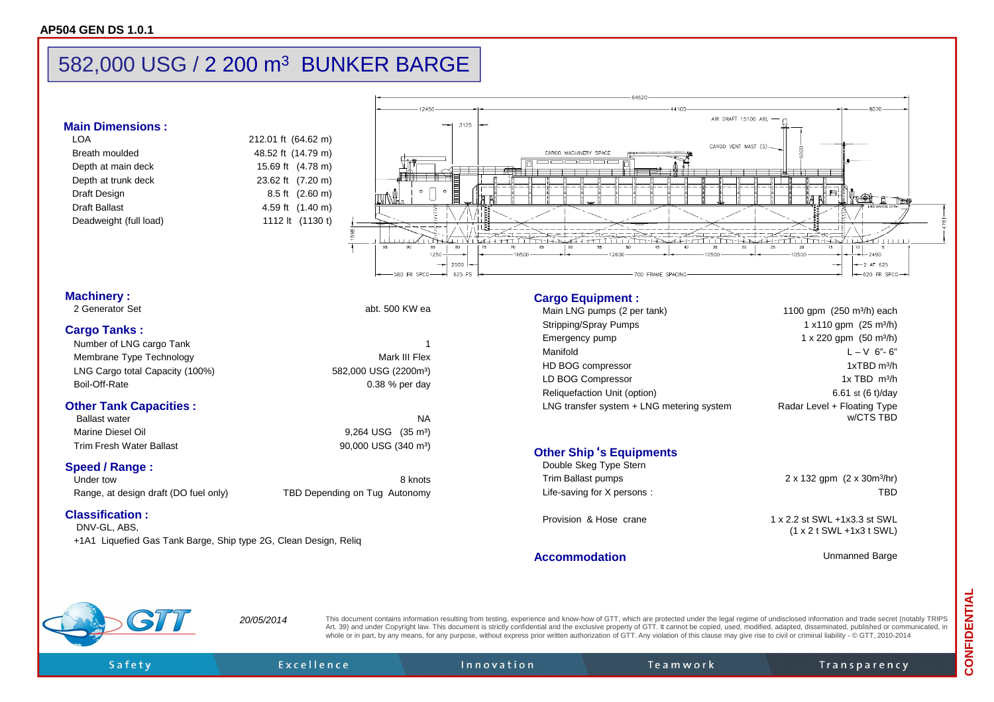# 582,000 USG / 2 200 m<sup>3</sup> BUNKER BARGE

## **Main Dimensions :**

| I OA                   | 212.01 |
|------------------------|--------|
| Breath moulded         | 48.52  |
| Depth at main deck     | 15.69  |
| Depth at trunk deck    | 23.62  |
| Draft Design           | 8.5    |
| <b>Draft Ballast</b>   | 4.59   |
| Deadweight (full load) | 1112   |
|                        |        |



### **Machinery :**

| 2 Generator Set |  |
|-----------------|--|
|                 |  |

## **Cargo Tanks :**

| Number of LNG cargo Tank              |                                   |  |
|---------------------------------------|-----------------------------------|--|
| Membrane Type Technology              | Mark III Flex                     |  |
| LNG Cargo total Capacity (100%)       | 582,000 USG (2200m <sup>3</sup> ) |  |
| Boil-Off-Rate                         | $0.38\%$ per day                  |  |
| <b>Other Tank Capacities:</b>         |                                   |  |
| <b>Ballast water</b>                  | ΝA                                |  |
| Marine Diesel Oil                     | $9,264$ USG $(35 \text{ m}^3)$    |  |
| <b>Trim Fresh Water Ballast</b>       | 90,000 USG (340 m <sup>3</sup> )  |  |
| <b>Speed / Range:</b>                 |                                   |  |
| Under tow                             | 8 knots                           |  |
| Range, at design draft (DO fuel only) | TBD Depending on Tug Autonomy     |  |
| <b>Classification:</b><br>————————    |                                   |  |

abt. 500 KW ea

DNV-GL, ABS, +1A1 Liquefied Gas Tank Barge, Ship type 2G, Clean Design, Reliq

#### **Cargo Equipment :**

| Main LNG pumps (2 per tank)               | 1100 gpm $(250 \text{ m}^3/h)$ each      |
|-------------------------------------------|------------------------------------------|
| Stripping/Spray Pumps                     | 1 x 110 gpm $(25 \text{ m}^3/h)$         |
| Emergency pump                            | $1 \times 220$ gpm $(50 \text{ m}^3/h)$  |
| Manifold                                  | $L - V$ 6"-6"                            |
| HD BOG compressor                         | $1xTBD$ m <sup>3</sup> /h                |
| LD BOG Compressor                         | $1x$ TBD $m^3/h$                         |
| Reliquefaction Unit (option)              | 6.61 st $(6 t)/day$                      |
| LNG transfer system + LNG metering system | Radar Level + Floating Type<br>w/CTS TBD |
|                                           |                                          |

#### **Other Ship**'**s Equipments**

| Double Skeg Type Stern<br>Trim Ballast pumps<br>Life-saving for X persons: | $2 \times 132$ gpm $(2 \times 30 \text{m}^3/\text{hr})$<br>TRD              |
|----------------------------------------------------------------------------|-----------------------------------------------------------------------------|
| Provision & Hose crane                                                     | 1 x 2.2 st SWL +1x3.3 st SWL<br>$(1 \times 2 \t{SWL} + 1 \times 3 \t{SWL})$ |

**Accommodation**

Unmanned Barge

Safety

This document contains information resulting from testing, experience and know-how of GTT, which are protected under the legal regime of undisclosed information and trade secret (notably TRIPS<br>
Art. 39) and under Copyright